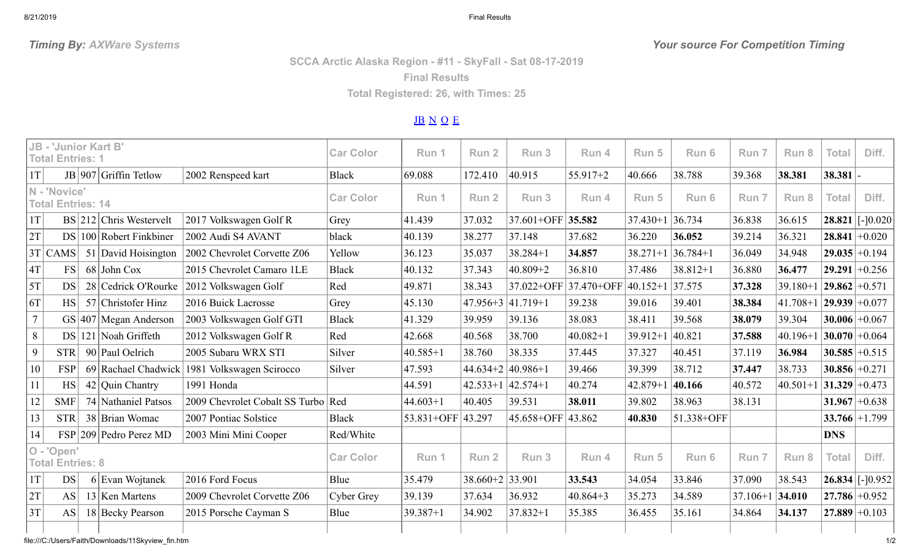8/21/2019 Final Results

**SCCA Arctic Alaska Region - #11 - SkyFall - Sat 08-17-2019**

**Final Results**

**Total Registered: 26, with Times: 25**

## [JB](#page-0-0) [N](#page-0-1) [O](#page-0-2) [E](#page-1-0)

<span id="page-0-2"></span><span id="page-0-1"></span><span id="page-0-0"></span>

| <b>JB - 'Junior Kart B'</b><br><b>Total Entries: 1</b> |            |  |                               |                                              | <b>Car Color</b> | Run 1             | Run <sub>2</sub>         | Run 3                  | Run 4        | Run 5               | Run 6               | Run 7        | Run 8                       | <b>Total</b>     | Diff.               |
|--------------------------------------------------------|------------|--|-------------------------------|----------------------------------------------|------------------|-------------------|--------------------------|------------------------|--------------|---------------------|---------------------|--------------|-----------------------------|------------------|---------------------|
| 1T                                                     |            |  | JB   907 Griffin Tetlow       | 2002 Renspeed kart                           | <b>Black</b>     | 69.088            | 172.410                  | 40.915                 | $55.917+2$   | 40.666              | 38.788              | 39.368       | 38.381                      | $38.381$ -       |                     |
| N - 'Novice'<br><b>Total Entries: 14</b>               |            |  |                               | <b>Car Color</b>                             | Run 1            | Run <sub>2</sub>  | Run 3                    | Run 4                  | Run 5        | Run 6               | Run 7               | Run 8        | <b>Total</b>                | Diff.            |                     |
| 1T                                                     |            |  | BS 212 Chris Westervelt       | 2017 Volkswagen Golf R                       | Grey             | 41.439            | 37.032                   | 37.601+OFF 35.582      |              | $37.430 + 1$ 36.734 |                     | 36.838       | 36.615                      |                  | $28.821$ [-10.020   |
| 2T                                                     |            |  | $DS   100  $ Robert Finkbiner | 2002 Audi S4 AVANT                           | black            | 40.139            | 38.277                   | 37.148                 | 37.682       | 36.220              | 36.052              | 39.214       | 36.321                      |                  | $28.841 + 0.020$    |
|                                                        | $3T$ CAMS  |  | 51 David Hoisington           | 2002 Chevrolet Corvette Z06                  | Yellow           | 36.123            | 35.037                   | $38.284 + 1$           | 34.857       |                     | $38.271+1$ 36.784+1 | 36.049       | 34.948                      |                  | $29.035 + 0.194$    |
| 4T                                                     | <b>FS</b>  |  | $68$ John Cox                 | 2015 Chevrolet Camaro 1LE                    | <b>Black</b>     | 40.132            | 37.343                   | $40.809 + 2$           | 36.810       | 37.486              | $38.812 + 1$        | 36.880       | 36.477                      |                  | $29.291 + 0.256$    |
| 5T                                                     | <b>DS</b>  |  | 28 Cedrick O'Rourke           | 2012 Volkswagen Golf                         | Red              | 49.871            | 38.343                   | 37.022+OFF 37.470+OFF  |              | $ 40.152+1 37.575$  |                     | 37.328       | $39.180 + 1$                | $ 29.862 +0.571$ |                     |
| 6T                                                     | <b>HS</b>  |  | 57 Christofer Hinz            | 2016 Buick Lacrosse                          | Grey             | 45.130            |                          | $ 47.956+3 41.719+1$   | 39.238       | 39.016              | 39.401              | 38.384       | $ 41.708+1 $ 29.939 + 0.077 |                  |                     |
| $\overline{7}$                                         |            |  | $GS$  407   Megan Anderson    | 2003 Volkswagen Golf GTI                     | <b>Black</b>     | 41.329            | 39.959                   | 39.136                 | 38.083       | 38.411              | 39.568              | 38.079       | 39.304                      |                  | $30.006 \div 0.067$ |
| 8                                                      |            |  | $DS$   121   Noah Griffeth    | 2012 Volkswagen Golf R                       | Red              | 42.668            | 40.568                   | 38.700                 | $40.082 + 1$ | $39.912 + 1$        | 40.821              | 37.588       | $40.196 + 1$                | $ 30.070 +0.064$ |                     |
| 9                                                      | <b>STR</b> |  | 90 Paul Oelrich               | 2005 Subaru WRX STI                          | Silver           | $40.585 + 1$      | 38.760                   | 38.335                 | 37.445       | 37.327              | 40.451              | 37.119       | 36.984                      |                  | $30.585 + 0.515$    |
| 10                                                     | <b>FSP</b> |  |                               | 69 Rachael Chadwick 1981 Volkswagen Scirocco | Silver           | 47.593            |                          | $44.634+2$ $ 40.986+1$ | 39.466       | 39.399              | 38.712              | 37.447       | 38.733                      |                  | $30.856 + 0.271$    |
| 11                                                     | <b>HS</b>  |  | $42$ Quin Chantry             | 1991 Honda                                   |                  | 44.591            |                          | $ 42.533+1 42.574+1$   | 40.274       | $42.879 + 1$        | 40.166              | 40.572       | $40.501+1$ 31.329 + 0.473   |                  |                     |
| 12                                                     | <b>SMF</b> |  | 74 Nathaniel Patsos           | 2009 Chevrolet Cobalt SS Turbo Red           |                  | $44.603 + 1$      | 40.405                   | 39.531                 | 38.011       | 39.802              | 38.963              | 38.131       |                             |                  | $31.967 + 0.638$    |
| 13                                                     | <b>STR</b> |  | 38 Brian Womac                | 2007 Pontiac Solstice                        | <b>Black</b>     | 53.831+OFF 43.297 |                          | 45.658+OFF 43.862      |              | 40.830              | 51.338+OFF          |              |                             |                  | $33.766 + 1.799$    |
| 14                                                     |            |  | $FSP$  209   Pedro Perez MD   | 2003 Mini Mini Cooper                        | Red/White        |                   |                          |                        |              |                     |                     |              |                             | <b>DNS</b>       |                     |
| O - 'Open'<br><b>Total Entries: 8</b>                  |            |  | <b>Car Color</b>              | Run 1                                        | Run <sub>2</sub> | Run 3             | Run 4                    | Run 5                  | Run 6        | Run 7               | Run 8               | <b>Total</b> | Diff.                       |                  |                     |
| 1T                                                     | <b>DS</b>  |  | $6$ Evan Wojtanek             | 2016 Ford Focus                              | Blue             | 35.479            | $38.660 + 2 \mid 33.901$ |                        | 33.543       | 34.054              | 33.846              | 37.090       | 38.543                      |                  | $26.834$ [-10.952   |
| 2T                                                     | <b>AS</b>  |  | $13$ Ken Martens              | 2009 Chevrolet Corvette Z06                  | Cyber Grey       | 39.139            | 37.634                   | 36.932                 | $ 40.864+3 $ | 35.273              | 34.589              | $37.106 + 1$ | 34.010                      |                  | $27.786 + 0.952$    |
| 3T                                                     | <b>AS</b>  |  | 18 Becky Pearson              | 2015 Porsche Cayman S                        | Blue             | $39.387 + 1$      | 34.902                   | $37.832 + 1$           | 35.385       | 36.455              | 35.161              | 34.864       | 34.137                      |                  | $27.889 + 0.103$    |
|                                                        |            |  |                               |                                              |                  |                   |                          |                        |              |                     |                     |              |                             |                  |                     |